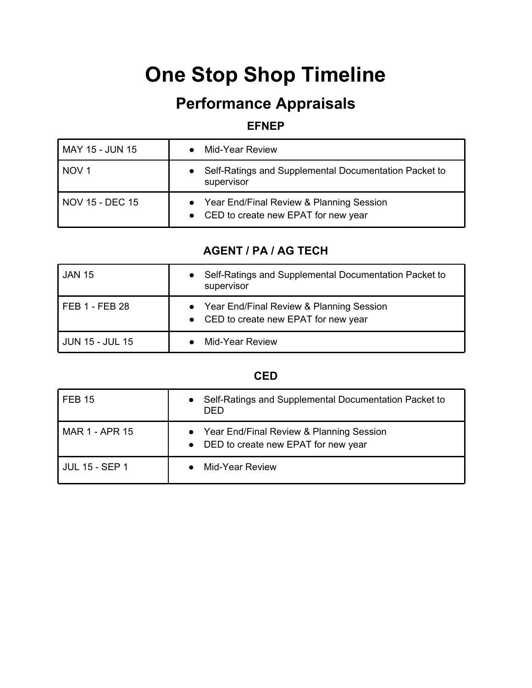# **One Stop Shop Timeline**

## **Performance Appraisals**

#### **EFNEP**

| MAY 15 - JUN 15  | • Mid-Year Review                                                                   |
|------------------|-------------------------------------------------------------------------------------|
| NOV <sub>1</sub> | Self-Ratings and Supplemental Documentation Packet to<br>supervisor                 |
| NOV 15 - DEC 15  | • Year End/Final Review & Planning Session<br>• CED to create new EPAT for new year |

#### **AGENT / PA / AG TECH**

| <b>JAN 15</b>          | Self-Ratings and Supplemental Documentation Packet to<br>$\bullet$<br>supervisor    |
|------------------------|-------------------------------------------------------------------------------------|
| FEB 1 - FEB 28         | • Year End/Final Review & Planning Session<br>• CED to create new EPAT for new year |
| <b>JUN 15 - JUL 15</b> | Mid-Year Review                                                                     |

#### **CED**

| <b>FEB 15</b>         | Self-Ratings and Supplemental Documentation Packet to<br>$\bullet$<br>DED.                     |
|-----------------------|------------------------------------------------------------------------------------------------|
| <b>MAR 1 - APR 15</b> | Year End/Final Review & Planning Session<br>$\bullet$<br>• DED to create new EPAT for new year |
| <b>JUL 15 - SEP 1</b> | Mid-Year Review                                                                                |